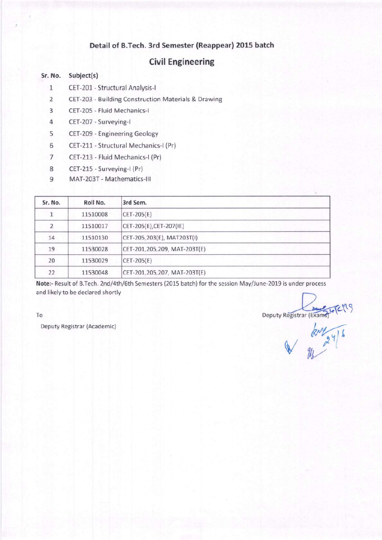## Civil Engineering

#### Sr. No. Subject(s)

- 1 CET-201 Structural Analysis-l
- 2 CET-203 Building Construction Materials & Drawing
- 3 CET-205 Fluid Mechanics-l
- 4 CET-207 Surveying-l
- 5 CET-209 Engineering Geology
- 6 CET-2LL Structural Mechanics-l (Pr)
- 7 CET-213 Fluid Mechanics-l (Pr)
- 8 CET-215 Surveying-l (Pr)
- 9 MAT-203T Mathematics-lll

| Sr. No. | Roll No. | 3rd Sem.                     |
|---------|----------|------------------------------|
|         | 11510008 | $CET-205(E)$                 |
| 2       | 11510017 | CET-205(E), CET-207(IE)      |
| 14      | 11510130 | CET-205,203(E), MAT203T(I)   |
| 19      | 11530028 | CET-201,205,209, MAT-203T(E) |
| 20      | 11530029 | CET-205(E)                   |
| 22      | 11530048 | CET-201,205,207, MAT-203T(E) |

Note:- Result of B.Tech. 2nd/4th/6th Semesters (2015 batch) for the session May/June-2019 is under process and likely to be declared shortly

Deputy Registrar (Exan

 $W_{241}$ 

To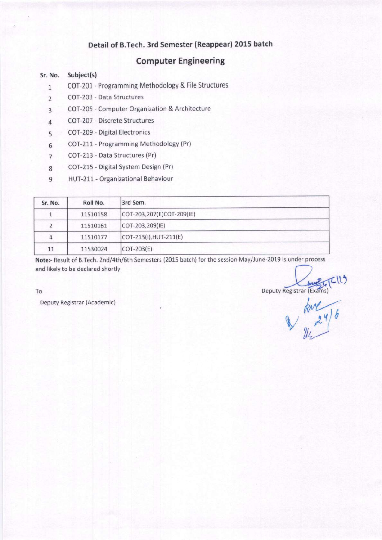### Computer Engineering

#### Sr. No. Subiect(s)

- 1 COT-201 Programming Methodology & File Structures
- 2 COT-203 Data Structures
- g COT-205 Computer Organization & Architecture
- 4 COT-207 Discrete Structures
- 5 COT-209 Digital Electronics
- 6 COT-2LL Programming Methodology (Pr)
- 7 COT-213 Data Structures (Pr)
- g COT-215 Digital System Design (Pr)
- 9 HUT-211 Organizational Behaviour

| Sr. No. | Roll No. | 3rd Sem.                   |
|---------|----------|----------------------------|
|         | 11510158 | COT-203,207(E)COT-209(IE)  |
|         | 11510161 | COT-203,209(IE)            |
|         | 11510177 | $ COT-213(1), HUT-211(E) $ |
| 11      | 11530024 | $COT-203(E)$               |

Note:- Result of B.Tech. 2nd/4th/6th Semesters (2015 batch) for the session May/June-2019 is under process and likely to be declared shortly

To Deputy Registrar (Academic)<br>Deputy Registrar (Exams)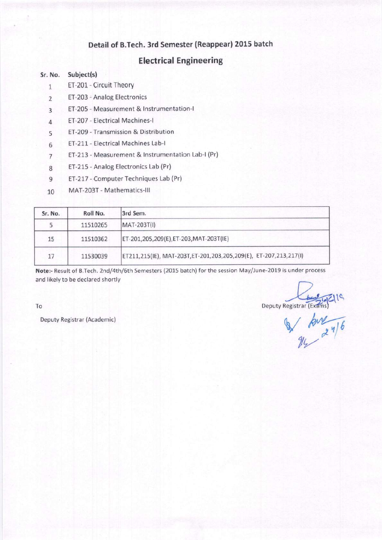### **Electrical Engineering**

#### Sr. No. Subiect(s)

- 1 ET-201 Circuit Theory
- 2 ET-203 Analog Electronics
- 3 ET-205 Measurement & lnstrumentation-l
- a ET-207 Electrical Machines-l
- 5 ET-209 Transmission & Distribution
- 5 ET-211 Electrical Machines Lab-l
- 7 ET-213 Measurement & Instrumentation Lab-I (Pr)
- g ET-215 Analog Electronics Lab (Pr)
- 9 ET-217 Computer Techniques Lab (Pr)
- 10 MAT-203T Mathematics-lll

| Sr. No. | Roll No. | 3rd Sem.                                                          |
|---------|----------|-------------------------------------------------------------------|
|         | 11510265 | $MAT-203T(1)$                                                     |
| 15      | 11510362 | ET-201,205,209(E),ET-203,MAT-203T(IE)                             |
| 17      | 11530039 | [ET211,215(IE), MAT-203T,ET-201,203,205,209(E), ET-207,213,217(I) |

and likely to be declared shortly Note:- Result of B.Tech. 2nd/4th/6th Semesters (2015 batch) for the session May/June-2019 is under process

Deputy Registrar (Exams) 21/6  $94$ 

To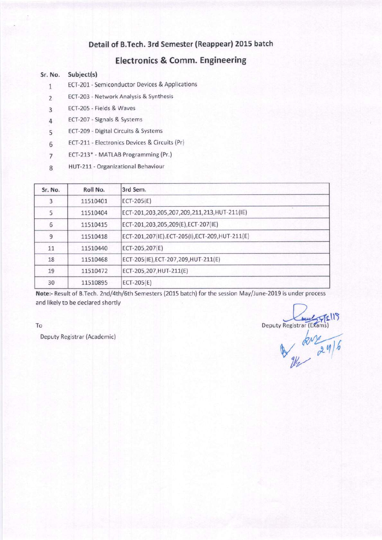### Electronics & Comm. Engineering

#### Sr. No. Subject(s)

- 1 ECT-201 Semiconductor Devices & Applications
- 2 ECT-203 Network Analysis & Synthesis
- 3 ECT-205 Fields & Waves
- 4 ECT-207 Signals & Systems
- 5 ECf-209 Digital Circuits & Systems
- 6 ECT-211 Electronics Devices & Circuits (Pr)
- 7 ECT-213\* MATLAB Programming (Pr.)
- g HUT-211 Organizational Behaviour

| Sr. No. | Roll No. | 3rd Sem.                                      |
|---------|----------|-----------------------------------------------|
| 3       | 11510401 | ECT-205(E)                                    |
| 5       | 11510404 | ECT-201,203,205,207,209,211,213,HUT-211(IE)   |
| 6       | 11510415 | ECT-201,203,205,209(E),ECT-207(IE)            |
| 9       | 11510418 | ECT-201,207(IE).ECT-205(I),ECT-209,HUT-211(E) |
| 11      | 11510440 | ECT-205,207(E)                                |
| 18      | 11510468 | ECT-205(IE), ECT-207, 209, HUT-211(E)         |
| 19      | 11510472 | ECT-205,207, HUT-211(E)                       |
| 30      | 11510895 | $ECT-205(E)$                                  |

and likely to be declared shortly Note:- Result of B.Tech. 2nd/4th/6th Semesters (2015 batch) for the session May/June-2019 is under process

To

Deputy Registrar (Exams)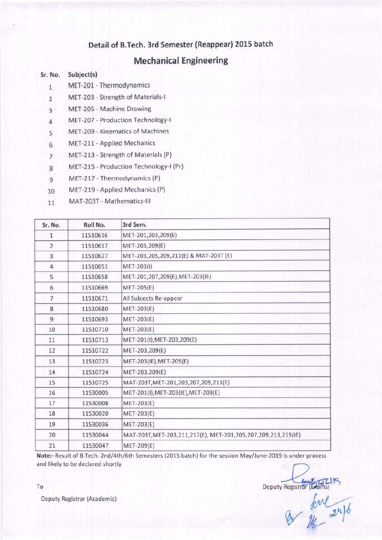### Mechanical Engineering

#### Sr. No. Subject(s)

- MET-201 Thermodynamics
- MET-203 Strength of Materials-l
- MET-205 Machine Drawing
- MET-207 Production Technology-l
- MET-209 Kinematics of Machines
- MET-211 Applied Mechanics
- MET-213 Strength of Materials (P)
- g MET-215 Production Technology-l (Pr)
- MET-217 Thermodynamics (P)
- MET-219 Applied Mechanics (P)
- MAT-203T Mathematics-lll

| Sr. No.        | Roll No. | 3rd Sem.                                                             |
|----------------|----------|----------------------------------------------------------------------|
| $\mathbf{1}$   | 11510616 | MET-201,203,209(E)                                                   |
| $\overline{2}$ | 11510617 | MET-203,209(E)                                                       |
| 3              | 11510627 | MET-203,205,209,211(E) & MAT-203T (E)                                |
| $\overline{4}$ | 11510651 | $MET-203(1)$                                                         |
| 5              | 11510658 | MET-201,207,209(E), MET-203(IE)                                      |
| 6              | 11510669 | $MET-205(E)$                                                         |
| $\overline{7}$ | 11510671 | All Subjects Re-appear                                               |
| 8              | 11510680 | MET-203(E)                                                           |
| 9              | 11510693 | $MET-203(E)$                                                         |
| 10             | 11510710 | $MET-203(E)$                                                         |
| 11             | 11510713 | MET-201(I), MET-203, 209(E)                                          |
| 12             | 11510722 | MET-203,209(E)                                                       |
| 13             | 11510723 | MET-203(IE), MET-205(E)                                              |
| 14             | 11510724 | MET-203,209(E)                                                       |
| 15             | 11510725 | MAT-203T, MET-201, 203, 207, 209, 211(E)                             |
| 16             | 11530005 | MET-201(I), MET-203(IE), MET-209(E)                                  |
| 17             | 11530008 | $MET-203(E)$                                                         |
| 18             | 11530020 | MET-203(E)                                                           |
| 19             | 11530036 | $MET-203(E)$                                                         |
| 20             | 11530044 | MAT-203T, MET-203, 211, 217(E), MET-201, 205, 207, 209, 213, 215(IE) |
| 21             | 11530047 | <b>MET-209(E)</b>                                                    |

Note:- Result of B.Tech. 2nd/4th/6th Semesters (2015 batch) for the session May/June-2019 is under process and likely to be declared shortly

Deputy Registrar (Exams)

 $km^2$   $2n\}$ 

Deputy Registrar (Academic)

To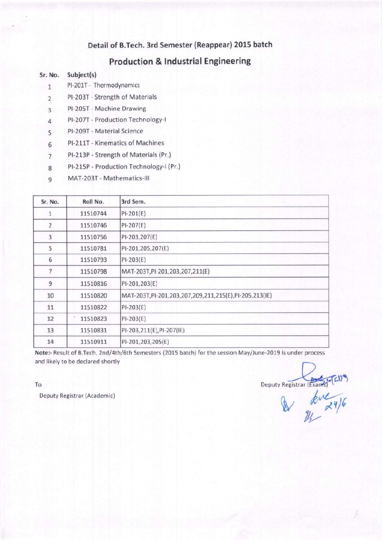## Production & lndustrial Engineering

#### Sr. No. Subiect(s)

- 1 Pl-201T Thermodynamics
- 2 Pl-203T Strength of Materials
- 3 Pl-205T Machine Drawing
- 4 PI-207T Production Technology-I
- 5 Pl-209T Material Science
- 5 Pl211T Kinematics of Machines
- 7 PI-213P Strength of Materials (Pr.)
- g Pl-215P Production Technology-l (Pr.)
- 9 MAT-203T Mathematics-lll

| Sr. No. | Roll No. | 3rd Sem.                                                      |
|---------|----------|---------------------------------------------------------------|
| 1       | 11510744 | $PI-201(E)$                                                   |
| 2       | 11510746 | $PI-207(E)$                                                   |
| 3       | 11510756 | PI-203,207(E)                                                 |
| 5       | 11510781 | PI-201,205,207(E)                                             |
| 6       | 11510793 | $PI-203(E)$                                                   |
| 7       | 11510798 | MAT-203T, PI-201, 203, 207, 211(E)                            |
| 9       | 11510816 | PI-201,203(E)                                                 |
| 10      | 11510820 | MAT-203T, PI-201, 203, 207, 209, 211, 215(E), PI-205, 213(IE) |
| 11      | 11510822 | $PI-203(E)$                                                   |
| 12      | 11510823 | $PI-203(E)$                                                   |
| 13      | 11510831 | PI-203,211(E), PI-207(IE)                                     |
| 14      | 11510911 | PI-201,203,205(E)                                             |

Note:- Result of B.Tech. 2nd/4th/6th Semesters (2015 batch) for the session May/June-2019 is under process and likely to be declared shortly

To

Deputy Registrar (  $\frac{1}{2}$  directly

Deputy Registrar (Academic)